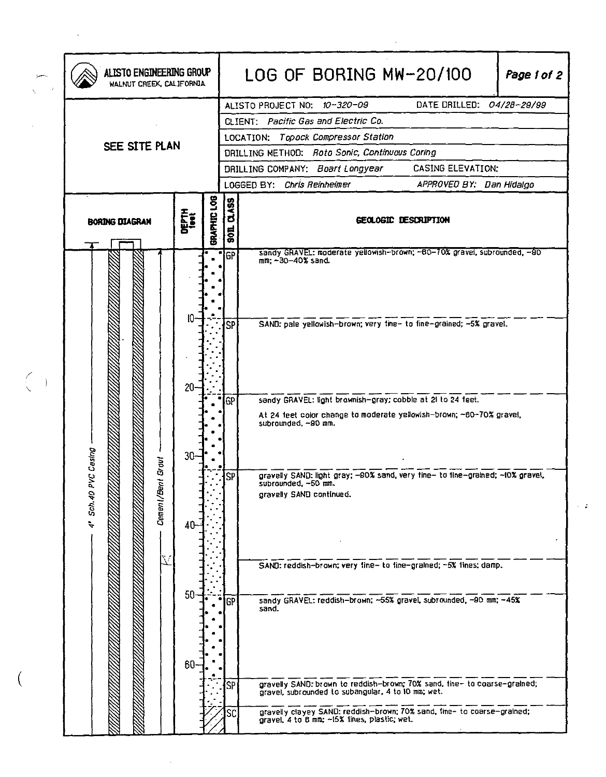